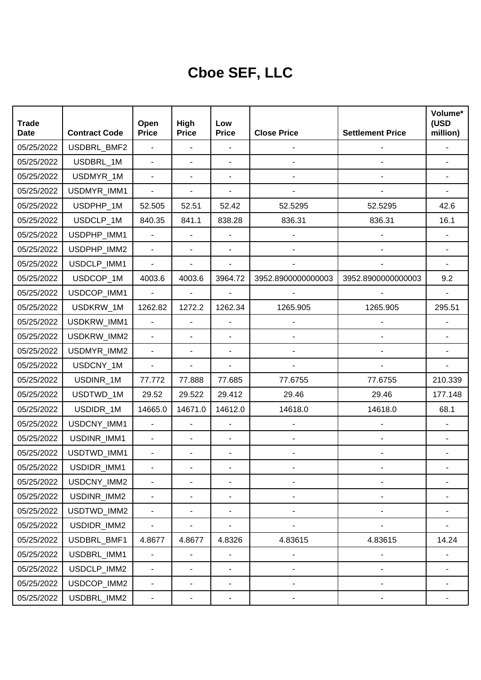## **Cboe SEF, LLC**

| <b>Trade</b><br><b>Date</b> | <b>Contract Code</b> | Open<br><b>Price</b>         | High<br><b>Price</b>     | Low<br><b>Price</b>          | <b>Close Price</b>       | <b>Settlement Price</b>      | Volume*<br>(USD<br>million) |
|-----------------------------|----------------------|------------------------------|--------------------------|------------------------------|--------------------------|------------------------------|-----------------------------|
| 05/25/2022                  | USDBRL_BMF2          | $\blacksquare$               | $\overline{\phantom{a}}$ | ÷,                           |                          |                              |                             |
| 05/25/2022                  | USDBRL_1M            | $\blacksquare$               | ä,                       | $\blacksquare$               |                          |                              |                             |
| 05/25/2022                  | USDMYR_1M            | $\overline{\phantom{a}}$     | ٠                        |                              |                          |                              |                             |
| 05/25/2022                  | USDMYR_IMM1          | $\blacksquare$               | ÷,                       | ÷,                           |                          |                              |                             |
| 05/25/2022                  | USDPHP_1M            | 52.505                       | 52.51                    | 52.42                        | 52.5295                  | 52.5295                      | 42.6                        |
| 05/25/2022                  | USDCLP 1M            | 840.35                       | 841.1                    | 838.28                       | 836.31                   | 836.31                       | 16.1                        |
| 05/25/2022                  | USDPHP_IMM1          | $\overline{a}$               | ä,                       |                              |                          |                              |                             |
| 05/25/2022                  | USDPHP_IMM2          | $\blacksquare$               | ÷,                       | $\blacksquare$               |                          |                              |                             |
| 05/25/2022                  | USDCLP_IMM1          | $\blacksquare$               | ٠                        | ÷,                           |                          |                              |                             |
| 05/25/2022                  | USDCOP_1M            | 4003.6                       | 4003.6                   | 3964.72                      | 3952.8900000000003       | 3952.8900000000003           | 9.2                         |
| 05/25/2022                  | USDCOP_IMM1          | $\blacksquare$               | $\blacksquare$           |                              |                          |                              |                             |
| 05/25/2022                  | USDKRW_1M            | 1262.82                      | 1272.2                   | 1262.34                      | 1265.905                 | 1265.905                     | 295.51                      |
| 05/25/2022                  | USDKRW_IMM1          | ä,                           | ä,                       |                              |                          |                              |                             |
| 05/25/2022                  | USDKRW_IMM2          |                              | ٠                        | ÷,                           |                          |                              |                             |
| 05/25/2022                  | USDMYR_IMM2          | $\blacksquare$               | ٠                        | ÷,                           |                          |                              |                             |
| 05/25/2022                  | USDCNY_1M            | $\overline{\phantom{a}}$     | ÷,                       | $\overline{\phantom{a}}$     |                          |                              |                             |
| 05/25/2022                  | USDINR_1M            | 77.772                       | 77.888                   | 77.685                       | 77.6755                  | 77.6755                      | 210.339                     |
| 05/25/2022                  | USDTWD_1M            | 29.52                        | 29.522                   | 29.412                       | 29.46                    | 29.46                        | 177.148                     |
| 05/25/2022                  | USDIDR_1M            | 14665.0                      | 14671.0                  | 14612.0                      | 14618.0                  | 14618.0                      | 68.1                        |
| 05/25/2022                  | USDCNY_IMM1          | $\blacksquare$               | ä,                       | $\overline{\phantom{a}}$     |                          |                              |                             |
| 05/25/2022                  | USDINR_IMM1          |                              | $\overline{\phantom{0}}$ | $\overline{a}$               |                          |                              |                             |
| 05/25/2022                  | USDTWD_IMM1          | $\blacksquare$               | ٠                        | ÷,                           |                          |                              |                             |
| 05/25/2022                  | USDIDR_IMM1          |                              |                          |                              |                          |                              |                             |
| 05/25/2022                  | USDCNY_IMM2          |                              | ٠                        |                              |                          |                              |                             |
| 05/25/2022                  | USDINR_IMM2          | $\overline{\phantom{a}}$     | $\overline{\phantom{0}}$ | $\qquad \qquad \blacksquare$ | $\overline{\phantom{0}}$ | $\overline{a}$               |                             |
| 05/25/2022                  | USDTWD_IMM2          | $\blacksquare$               | ٠                        | $\blacksquare$               | $\overline{\phantom{0}}$ | $\qquad \qquad \blacksquare$ |                             |
| 05/25/2022                  | USDIDR_IMM2          | $\blacksquare$               | $\overline{\phantom{0}}$ | $\blacksquare$               |                          |                              |                             |
| 05/25/2022                  | USDBRL_BMF1          | 4.8677                       | 4.8677                   | 4.8326                       | 4.83615                  | 4.83615                      | 14.24                       |
| 05/25/2022                  | USDBRL_IMM1          | $\blacksquare$               | $\overline{\phantom{0}}$ | $\blacksquare$               | $\overline{\phantom{a}}$ | $\qquad \qquad \blacksquare$ |                             |
| 05/25/2022                  | USDCLP_IMM2          | $\blacksquare$               | $\frac{1}{2}$            | $\blacksquare$               | $\overline{\phantom{0}}$ | $\overline{\phantom{m}}$     |                             |
| 05/25/2022                  | USDCOP_IMM2          | $\qquad \qquad \blacksquare$ | $\overline{\phantom{0}}$ | $\overline{\phantom{a}}$     | -                        | $\overline{a}$               |                             |
| 05/25/2022                  | USDBRL_IMM2          | ۰                            | ۰                        | ۰                            |                          |                              |                             |